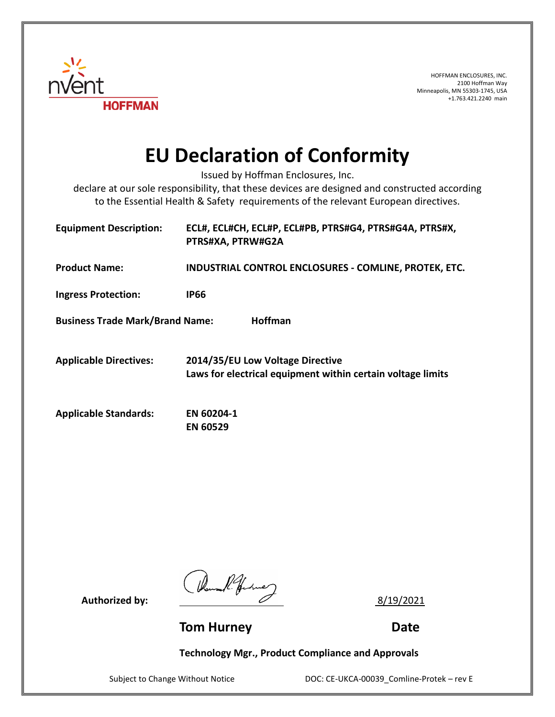

HOFFMAN ENCLOSURES, INC. 2100 Hoffman Way Minneapolis, MN 55303-1745, USA +1.763.421.2240 main

## **EU Declaration of Conformity**

Issued by Hoffman Enclosures, Inc.

declare at our sole responsibility, that these devices are designed and constructed according to the Essential Health & Safety requirements of the relevant European directives.

| <b>Equipment Description:</b>                     | ECL#, ECL#CH, ECL#P, ECL#PB, PTRS#G4, PTRS#G4A, PTRS#X,<br>PTRS#XA, PTRW#G2A                    |
|---------------------------------------------------|-------------------------------------------------------------------------------------------------|
| <b>Product Name:</b>                              | INDUSTRIAL CONTROL ENCLOSURES - COMLINE, PROTEK, ETC.                                           |
| <b>Ingress Protection:</b>                        | <b>IP66</b>                                                                                     |
| Hoffman<br><b>Business Trade Mark/Brand Name:</b> |                                                                                                 |
| <b>Applicable Directives:</b>                     | 2014/35/EU Low Voltage Directive<br>Laws for electrical equipment within certain voltage limits |
| <b>Applicable Standards:</b>                      | EN 60204-1<br><b>EN 60529</b>                                                                   |

Authorized by:  $\frac{1}{2}$  8/19/2021

**Tom Hurney Communication Communication Communication Communication Communication Communication Communication Communication Communication Communication Communication Communication Communication Communication Communication** 

**Technology Mgr., Product Compliance and Approvals**

Subject to Change Without Notice **DOC: CE-UKCA-00039** Comline-Protek – rev E